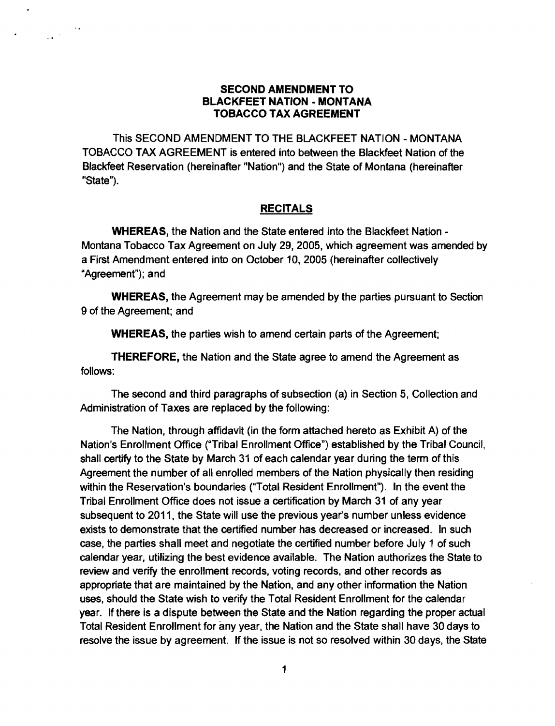## **SECOND AMENDMENT TO BLACKFEET NATION - MONTANA TOBACCO TAX AGREEMENT**

This SECOND AMENDMENT TO THE BLACKFEET NATION - MONTANA TOBACCO TAX AGREEMENT is entered into between the Blackfeet Nation of the Blackfeet Reservation (hereinafter "Nation") and the State of Montana (hereinafter "State").

 $\sim$  8  $\pm$ 

 $\frac{1}{2} \frac{1}{2} \frac{1}{2} \frac{1}{2}$ 

## **RECITALS**

**WHEREAS.** the Nation and the State entered into the Blackfeet Nation Montana Tobacco Tax Agreement on July 29, 2005, which agreement was amended by a First Amendment entered into on October 10,2005 (hereinafter collectively "Agreement"); and

**WHEREAS,** the Agreement may be amended by the parties pursuant to Section 9 of the Agreement; and

**WHEREAS,** the parties wish to amend certain parts of the Agreement;

**"rHEREFORE,** the Nation and the State agree to amend the Agreement as follows:

The second and third paragraphs of subsection (a) in Section 5, Collection and Administration of Taxes are replaced by the following:

The Nation, through affidavit (in the form attached hereto as Exhibit A) of the Nation's Enrollment Office ("Tribal Enrollment Office") established by the Tribal Council, shall certify to the State by March 31 of each calendar year during the term of this Agreement the number of all enrolled members of the Nation physically then residing within the Reservation's boundaries ("Total Resident Enrollment"). In the event the Tribal Enrollment Office does not issue a certification by March 31 of any year subsequent to 2011, the State will use the previous year's number unless evidence exists to demonstrate that the certified number has decreased or increased. In such case, the parties shall meet and negotiate the certified number before July 1 of such calendar year, utilizing the best evidence available. The Nation authorizes the State to review and verify the enrollment records, voting records, and other records as appropriate that are maintained by the Nation, and any other information the Nation uses, should the State wish to verify the Total Resident Enrollment for the calendar year. If there is a dispute between the State and the Nation regarding the proper actual Total Resident Enrollment for any year. the Nation and the State shall have 30 days to resolve the issue by agreement. If the issue is not so resolved within 30 days, the State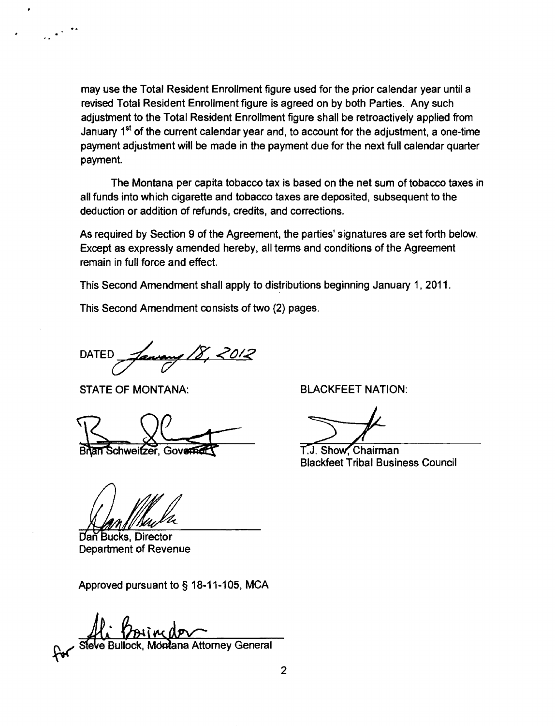may use the Total Resident Enrollment figure used for the prior calendar year until a revised Total Resident Enrollment figure is agreed on by both Parties.. Any such adjustment to the Total Resident Enrollment figure shall be retroactively applied from January  $1^{st}$  of the current calendar year and, to account for the adjustment, a one-time payment adjustment will be made in the payment due for the next full calendar quarter payment.

The Montana per capita tobacco tax is based on the net sum of tobacco taxes in all funds into which Cigarette and tobacco taxes are deposited, subsequent to the deduction or addition of refunds, credits, and corrections.

As required by Section 9 of the Agreement, the parties' signatures are set forth below. Except as expressly amended hereby, all terms and conditions of the Agreement remain in full force and effect.

This Second Amendment shall apply to distributions beginning January 1, 2011.

This Second Amendment consists of two (2) pages.

DATED

STATE OF MONTANA: BLACKFEET NATION:

an Schweitzer, Governer

Dan Bucks, Director Department of Revenue

Approved pursuant to § 18-11-105. MCA

**Montana Attorney General** Steve Bullock

T.J. Show. Chairman **Blackfeet Tribal Business Council**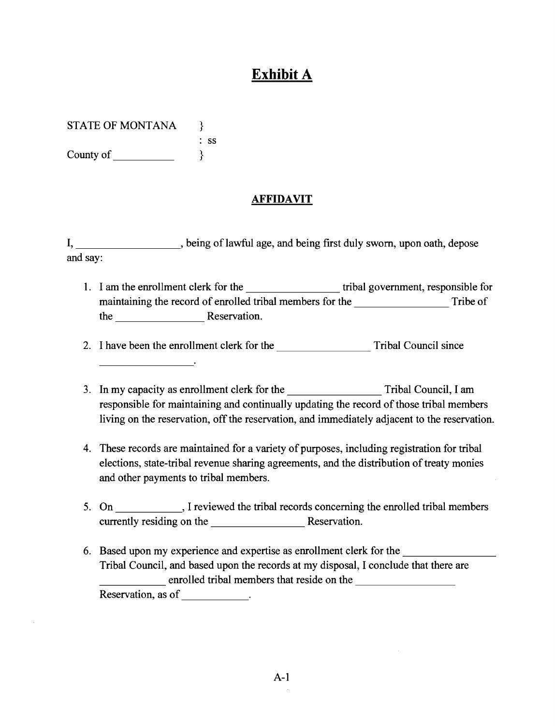## **Exhibit A**

STATE OF MONTANA }

: ss County of  $\}$ 

## **AFFIDAVIT**

I, \_\_\_\_\_\_\_\_\_\_\_\_\_, being of lawful age, and being first duly sworn, upon oath, depose and say:

1. I am the enrollment clerk for the tribal government, responsible for maintaining the record of enrolled tribal members for the Tribe of the Reservation.

-------- 2. I have been the enrollment clerk for the Tribal Council since

- 3. In my capacity as enrollment clerk for the Tribal Council, I am responsible for maintaining and continually updating the record of those tribal members living on the reservation, off the reservation, and immediately adjacent to the reservation.
- 4. These records are maintained for a variety of purposes, including registration for tribal elections, state-tribal revenue sharing agreements, and the distribution of treaty monies and other payments to tribal members.
- 5. On \_\_\_\_\_\_\_\_, I reviewed the tribal records concerning the enrolled tribal members currently residing on the **Reservation**.
- Tribal Council, and based upon the records at my disposal, I conclude that there<br>
enrolled tribal members that reside on the 6. Based upon my experience and expertise as enrollment clerk for the Tribal Council, and based upon the records at my disposal, I conclude that there are Reservation, as of \_\_\_\_\_\_\_\_\_\_\_.